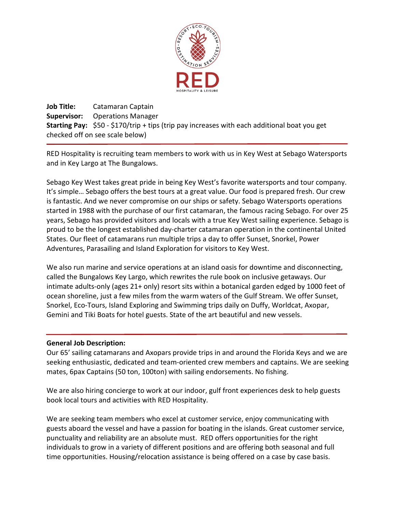

**Job Title:** Catamaran Captain **Supervisor:** Operations Manager **Starting Pay:** \$50 - \$170/trip + tips (trip pay increases with each additional boat you get checked off on see scale below)

RED Hospitality is recruiting team members to work with us in Key West at Sebago Watersports and in Key Largo at The Bungalows.

Sebago Key West takes great pride in being Key West's favorite watersports and tour company. It's simple… Sebago offers the best tours at a great value. Our food is prepared fresh. Our crew is fantastic. And we never compromise on our ships or safety. Sebago Watersports operations started in 1988 with the purchase of our first catamaran, the famous racing Sebago. For over 25 years, Sebago has provided visitors and locals with a true Key West sailing experience. Sebago is proud to be the longest established day-charter catamaran operation in the continental United States. Our fleet of catamarans run multiple trips a day to offer Sunset, Snorkel, Power Adventures, Parasailing and Island Exploration for visitors to Key West.

We also run marine and service operations at an island oasis for downtime and disconnecting, called the Bungalows Key Largo, which rewrites the rule book on inclusive getaways. Our intimate adults-only (ages 21+ only) resort sits within a botanical garden edged by 1000 feet of ocean shoreline, just a few miles from the warm waters of the Gulf Stream. We offer Sunset, Snorkel, Eco-Tours, Island Exploring and Swimming trips daily on Duffy, Worldcat, Axopar, Gemini and Tiki Boats for hotel guests. State of the art beautiful and new vessels.

## **General Job Description:**

Our 65' sailing catamarans and Axopars provide trips in and around the Florida Keys and we are seeking enthusiastic, dedicated and team-oriented crew members and captains. We are seeking mates, 6pax Captains (50 ton, 100ton) with sailing endorsements. No fishing.

We are also hiring concierge to work at our indoor, gulf front experiences desk to help guests book local tours and activities with RED Hospitality.

We are seeking team members who excel at customer service, enjoy communicating with guests aboard the vessel and have a passion for boating in the islands. Great customer service, punctuality and reliability are an absolute must. RED offers opportunities for the right individuals to grow in a variety of different positions and are offering both seasonal and full time opportunities. Housing/relocation assistance is being offered on a case by case basis.